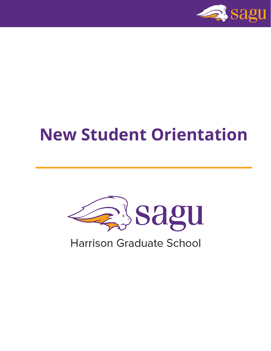

# **New Student Orientation**



**Harrison Graduate School**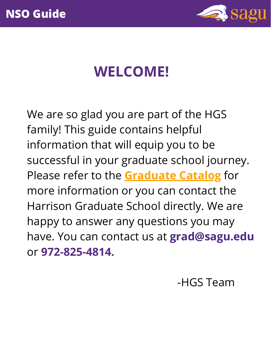

## **WELCOME!**

We are so glad you are part of the HGS family! This guide contains helpful information that will equip you to be successful in your graduate school journey. Please refer to the **[Graduate](https://www.sagu.edu/documents/Academics/Catalogs/Graduate%20Catalogs/2021-2022%20Graduate%20Catalog/GraduateCatalog_2122.pdf) Catalog** for more information or you can contact the Harrison Graduate School directly. We are happy to answer any questions you may have. You can contact us at **grad@sagu.edu** or **972-825-4814.**

-HGS Team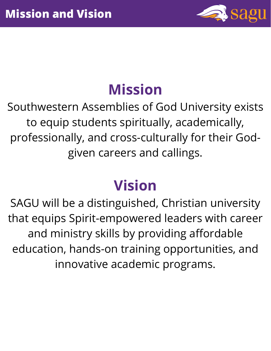

# **Mission**

Southwestern Assemblies of God University exists to equip students spiritually, academically, professionally, and cross-culturally for their Godgiven careers and callings.

# **Vision**

SAGU will be a distinguished, Christian university that equips Spirit-empowered leaders with career and ministry skills by providing affordable education, hands-on training opportunities, and innovative academic programs.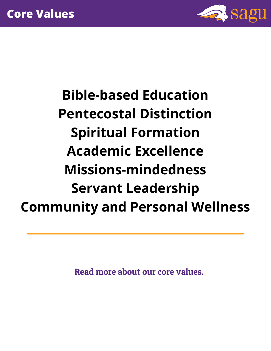

**Bible-based Education Pentecostal Distinction Spiritual Formation Academic Excellence Missions-mindedness Servant Leadership Community and Personal Wellness**

Read more about our core [values.](https://www.sagu.edu/about/mission-and-core-values)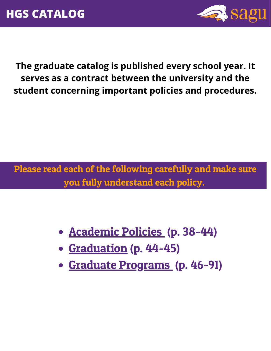

**The graduate catalog is published every school year. It serves as a contract between the university and the student concerning important policies and procedures.**

Please read each of the following carefully and make sure you fully understand each policy.

- [Academic](https://www.sagu.edu/documents/Academics/Catalogs/Graduate%20Catalogs/2021-2022%20Graduate%20Catalog/GraduateCatalog_2122.pdf) Policie[s](https://www.sagu.edu/documents/Academics/Catalogs/Graduate%20Catalogs/2021-2022%20Graduate%20Catalog/GraduateCatalog_2122.pdf) (p. 38-44)
- [Graduation](https://www.sagu.edu/documents/Academics/Catalogs/Graduate%20Catalogs/2021-2022%20Graduate%20Catalog/GraduateCatalog_2122.pdf) (p. 44-45)
- Graduate [Programs](https://www.sagu.edu/documents/Academics/Catalogs/Graduate%20Catalogs/2021-2022%20Graduate%20Catalog/GraduateCatalog_2122.pdf) (p. 46-91)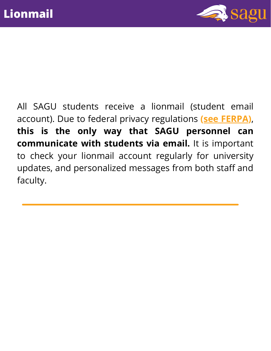

All SAGU students receive a lionmail (student email account). Due to federal privacy regulations **(see [FERPA\)](https://www.sagu.edu/services/student-privacy-ferpa)**, **this is the only way that SAGU personnel can communicate with students via email.** It is important to check your lionmail account regularly for university updates, and personalized messages from both staff and faculty.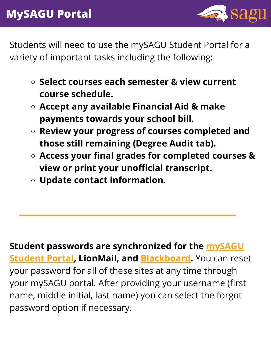

Students will need to use the mySAGU Student Portal for a variety of important tasks including the following:

- **Select courses each semester & view current course schedule.**
- **Accept any available Financial Aid & make payments towards your school bill.**
- **Review your progress of courses completed and those still remaining (Degree Audit tab).**
- **Access your final grades for completed courses & view or print your unofficial transcript.**
- **Update contact information.**

**Student passwords are [synchronized](https://www.sagu.edu/website-utilities/mysagu-students) for the mySAGU Student Portal, LionMail, and [Blackboard](https://blackboard.sagu.edu/).** You can reset your password for all of these sites at any time through your mySAGU portal. After providing your username (first name, middle initial, last name) you can select the forgot password option if necessary.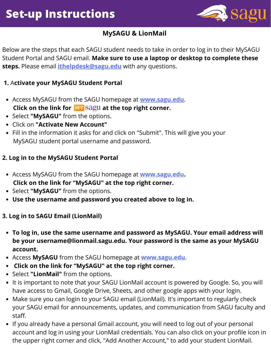

#### **MySAGU & LionMail**

Below are the steps that each SAGU student needs to take in order to log in to their MySAGU Student Portal and SAGU email. **Make sure to use a laptop or desktop to complete these steps.** Please email **[ithelpdesk@sagu.edu](mailto:ithelpdesk@sagu.edu)** with any questions.

#### **1.** A**ctivate your MySAGU Student Portal**

- Access MySAGU from the SAGU homepage at **[www.sagu.edu](http://www.sagu.edu/)**. **Click on the link for at the top right corner.**
- Select **"MySAGU"** from the options.
- Click on **"Activate New Account"**
- Fill in the information it asks for and click on "Submit". This will give you your MySAGU student portal username and password.

#### **2. Log in to the MySAGU Student Portal**

- Access MySAGU from the SAGU homepage at **[www.sagu.edu.](http://www.sagu.edu/) Click on the link for "MySAGU" at the top right corner.**
- Select "MySAGU" from the options.
- **Use the username and password you created above to log in.**

#### **3. Log in to SAGU Email (LionMail)**

- **To log in, use the same username and password as MySAGU. Your email address will be your username@lionmail.sagu.edu. Your password is the same as your MySAGU account.**
- Access **MySAGU** from the SAGU homepage at **[www.sagu.edu](http://www.sagu.edu/)**.
- **Click on the link for "MySAGU" at the top right corner.**
- Select **"LionMail"** from the options.
- It is important to note that your SAGU LionMail account is powered by Google. So, you will have access to Gmail, Google Drive, Sheets, and other google apps with your login.
- Make sure you can login to your SAGU email (LionMail). It's important to regularly check your SAGU email for announcements, updates, and communication from SAGU faculty and staff.
- If you already have a personal Gmail account, you will need to log out of your personal account and log in using your LionMail credentials. You can also click on your profile icon in the upper right corner and click, "Add Another Account," to add your student LionMail.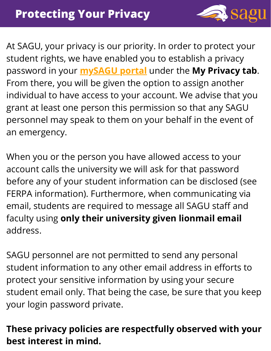

At SAGU, your privacy is our priority. In order to protect your student rights, we have enabled you to establish a privacy password in your **[mySAGU](https://www.sagu.edu/website-utilities/mysagu-students) portal** under the **My Privacy tab**. From there, you will be given the option to assign another individual to have access to your account. We advise that you grant at least one person this permission so that any SAGU personnel may speak to them on your behalf in the event of an emergency.

When you or the person you have allowed access to your account calls the university we will ask for that password before any of your student information can be disclosed (see FERPA information). Furthermore, when communicating via email, students are required to message all SAGU staff and faculty using **only their university given lionmail email** address.

SAGU personnel are not permitted to send any personal student information to any other email address in efforts to protect your sensitive information by using your secure student email only. That being the case, be sure that you keep your login password private.

#### **These privacy policies are respectfully observed with your best interest in mind.**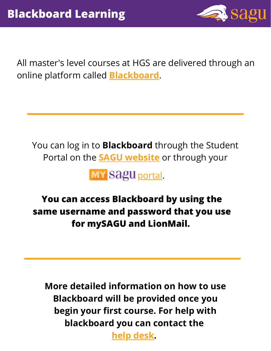

All master's level courses at HGS are delivered through an online platform called **[Blackboard](https://blackboard.sagu.edu/)**.

You can log in to **Blackboard** through the Student Portal on the **SAGU [website](http://www.sagu.edu/)** or through your



### **You can access Blackboard by using the same username and password that you use for mySAGU and LionMail.**

**More detailed information on how to use Blackboard will be provided once you begin your first course. For help with blackboard you can contact the**

**help [desk](https://www.cognitoforms.com/SAGU1/ehelpdeskticket).**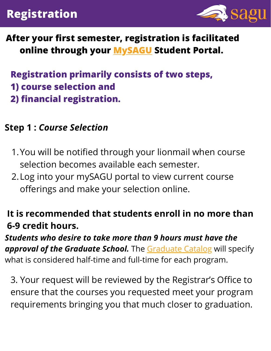### **Registration**



#### **After your first semester, registration is facilitated online through your [MySAGU](https://my.sagu.edu/login.asp) Student Portal.**

### **Registration primarily consists of two steps, 1) course selection and 2) financial registration.**

#### **Step 1 :** *Course Selection*

- You will be notified through your lionmail when course 1. selection becomes available each semester.
- Log into your mySAGU portal to view current course 2. offerings and make your selection online.

### **It is recommended that students enroll in no more than 6-9 credit hours.**

#### *Students who desire to take more than 9 hours must have the approval of the Graduate School.* The [Graduate Catalog](https://www.sagu.edu/documents/Academics/Catalogs/Graduate%20Catalogs/2021-2022%20Graduate%20Catalog/GraduateCatalog_2122.pdf) will specify what is considered half-time and full-time for each program.

3. Your request will be reviewed by the Registrar's Office to ensure that the courses you requested meet your program requirements bringing you that much closer to graduation.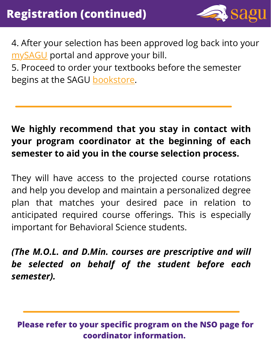

4. After your selection has been approved log back into your [mySAGU](https://my.sagu.edu/login.asp) portal and approve your bill.

5. Proceed to order your textbooks before the semester begins at the SAGU [bookstore](http://www.sagustore.com/home).

### **We highly recommend that you stay in contact with your program coordinator at the beginning of each semester to aid you in the course selection process.**

They will have access to the projected course rotations and help you develop and maintain a personalized degree plan that matches your desired pace in relation to anticipated required course offerings. This is especially important for Behavioral Science students.

*(The M.O.L. and D.Min. courses are prescriptive and will be selected on behalf of the student before each semester).*

**Please refer to your specific program on the NSO page for coordinator information.**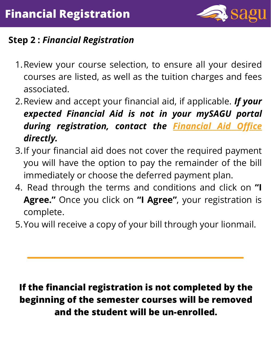

### **Step 2 :** *Financial Registration*

- 1. Review your course selection, to ensure all your desired courses are listed, as well as the tuition charges and fees associated.
- 2.Review and accept your financial aid, if applicable. *If your expected Financial Aid is not in your mySAGU portal during registration, contact the [Financial](https://www.sagu.edu/directory/staff/financial-aid-staff/) Aid Office directly.*
- If your financial aid does not cover the required payment 3. you will have the option to pay the remainder of the bill immediately or choose the deferred payment plan.
- Read through the terms and conditions and click on **"I** 4. **Agree."** Once you click on **"I Agree"** , your registration is complete.
- 5. You will receive a copy of your bill through your lionmail.

### **If the financial registration is not completed by the beginning of the semester courses will be removed and the student will be un-enrolled.**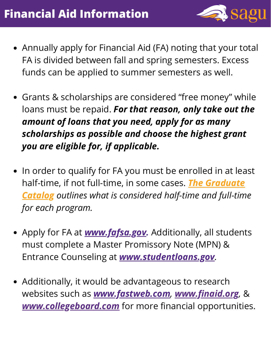

- Annually apply for Financial Aid (FA) noting that your total FA is divided between fall and spring semesters. Excess funds can be applied to summer semesters as well.
- Grants & scholarships are considered "free money" while loans must be repaid. *For that reason, only take out the amount of loans that you need, apply for as many scholarships as possible and choose the highest grant you are eligible for, if applicable.*
- In order to qualify for FA you must be enrolled in at least half-time, if not full-time, in some cases. *The Graduate Catalog outlines what is [considered](https://www.sagu.edu/documents/Academics/Catalogs/Graduate%20Catalogs/2021-2022%20Graduate%20Catalog/GraduateCatalog_2122.pdf) half-time and full-time for each program.*
- Apply for FA at *[www.fafsa.gov.](http://www.fafsa.gov/)* Additionally, all students must complete a Master Promissory Note (MPN) & Entrance Counseling at *[www.studentloans.gov](http://www.studentloans.gov/).*
- Additionally, it would be advantageous to research websites such as *[www.fastweb.com](http://www.fastweb.com/), [www.finaid.org](http://www.finaid.org/),* & *[www.collegeboard.com](http://www.collegeboard.com/)* for more financial opportunities.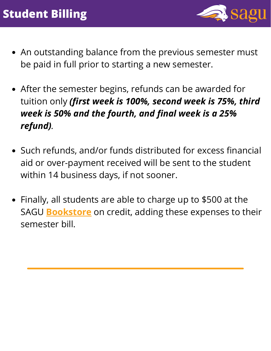

- An outstanding balance from the previous semester must be paid in full prior to starting a new semester.
- After the semester begins, refunds can be awarded for tuition only *(first week is 100%, second week is 75%, third week is 50% and the fourth, and final week is a 25% refund).*
- Such refunds, and/or funds distributed for excess financial aid or over-payment received will be sent to the student within 14 business days, if not sooner.
- Finally, all students are able to charge up to \$500 at the SAGU **[Bookstore](http://www.sagustore.com/home)** on credit, adding these expenses to their semester bill.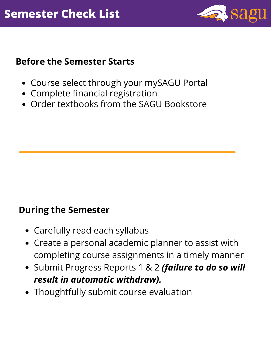

#### **Before the Semester Starts**

- Course select through your mySAGU Portal
- Complete financial registration
- Order textbooks from the SAGU Bookstore

#### **During the Semester**

- Carefully read each syllabus
- Create a personal academic planner to assist with completing course assignments in a timely manner
- Submit Progress Reports 1 & 2 *(failure to do so will result in automatic withdraw).*
- Thoughtfully submit course evaluation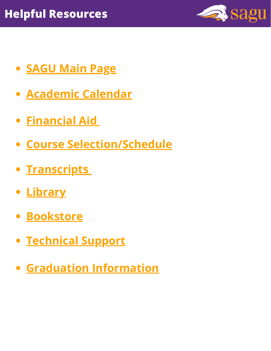

- **[SAGU](http://www.sagu.edu/) Main Page**
- **[Academic](https://www.sagu.edu/website-utilities/calendar) Calendar**
- **[Financial](https://www.sagu.edu/directory/staff/financial-aid-staff/) Ai[d](https://www.sagu.edu/directory/staff/financial-aid-staff/)**
- **Course [Selection/Schedule](https://www.sagu.edu/services/schedule-changes)**
- **[Transcripts](https://www.sagu.edu/services/schedule-changes)**
- **[Library](https://www.sagu.edu/services/nelson-memorial-library)**
- **[Bookstore](http://www.sagustore.com/home)**
- **[Technical](https://www.sagu.edu/audiences/ehelp-desk) Support**
- **Graduation Information**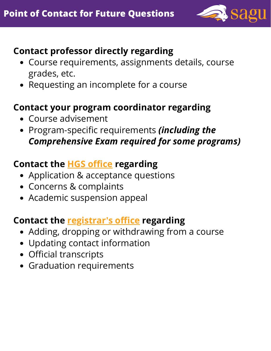

#### **Contact professor directly regarding**

- Course requirements, assignments details, course grades, etc.
- Requesting an incomplete for a course

#### **Contact your program coordinator regarding**

- Course advisement
- Program-specific requirements *(including the Comprehensive Exam required for some programs)*

#### **Contact the HGS [office](https://www.sagu.edu/directory/staff/graduate-studies-staff/) regarding**

- Application & acceptance questions
- Concerns & complaints
- Academic suspension appeal

#### **Contact the [registrar's](https://www.sagu.edu/services/office-of-the-registrar) office regarding**

- Adding, dropping or withdrawing from a course
- Updating contact information
- Official transcripts
- Graduation requirements